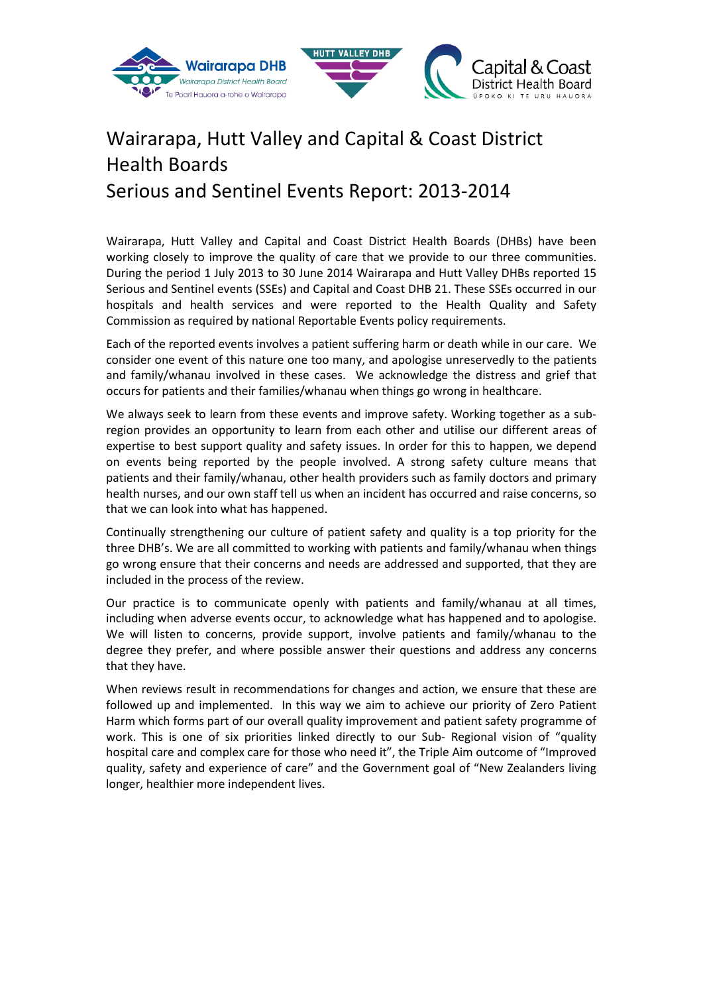



# Wairarapa, Hutt Valley and Capital & Coast District Health Boards Serious and Sentinel Events Report: 2013-2014

Wairarapa, Hutt Valley and Capital and Coast District Health Boards (DHBs) have been working closely to improve the quality of care that we provide to our three communities. During the period 1 July 2013 to 30 June 2014 Wairarapa and Hutt Valley DHBs reported 15 Serious and Sentinel events (SSEs) and Capital and Coast DHB 21. These SSEs occurred in our hospitals and health services and were reported to the Health Quality and Safety Commission as required by national Reportable Events policy requirements.

Each of the reported events involves a patient suffering harm or death while in our care. We consider one event of this nature one too many, and apologise unreservedly to the patients and family/whanau involved in these cases. We acknowledge the distress and grief that occurs for patients and their families/whanau when things go wrong in healthcare.

We always seek to learn from these events and improve safety. Working together as a subregion provides an opportunity to learn from each other and utilise our different areas of expertise to best support quality and safety issues. In order for this to happen, we depend on events being reported by the people involved. A strong safety culture means that patients and their family/whanau, other health providers such as family doctors and primary health nurses, and our own staff tell us when an incident has occurred and raise concerns, so that we can look into what has happened.

Continually strengthening our culture of patient safety and quality is a top priority for the three DHB's. We are all committed to working with patients and family/whanau when things go wrong ensure that their concerns and needs are addressed and supported, that they are included in the process of the review.

Our practice is to communicate openly with patients and family/whanau at all times, including when adverse events occur, to acknowledge what has happened and to apologise. We will listen to concerns, provide support, involve patients and family/whanau to the degree they prefer, and where possible answer their questions and address any concerns that they have.

When reviews result in recommendations for changes and action, we ensure that these are followed up and implemented. In this way we aim to achieve our priority of Zero Patient Harm which forms part of our overall quality improvement and patient safety programme of work. This is one of six priorities linked directly to our Sub- Regional vision of "quality hospital care and complex care for those who need it", the Triple Aim outcome of "Improved quality, safety and experience of care" and the Government goal of "New Zealanders living longer, healthier more independent lives.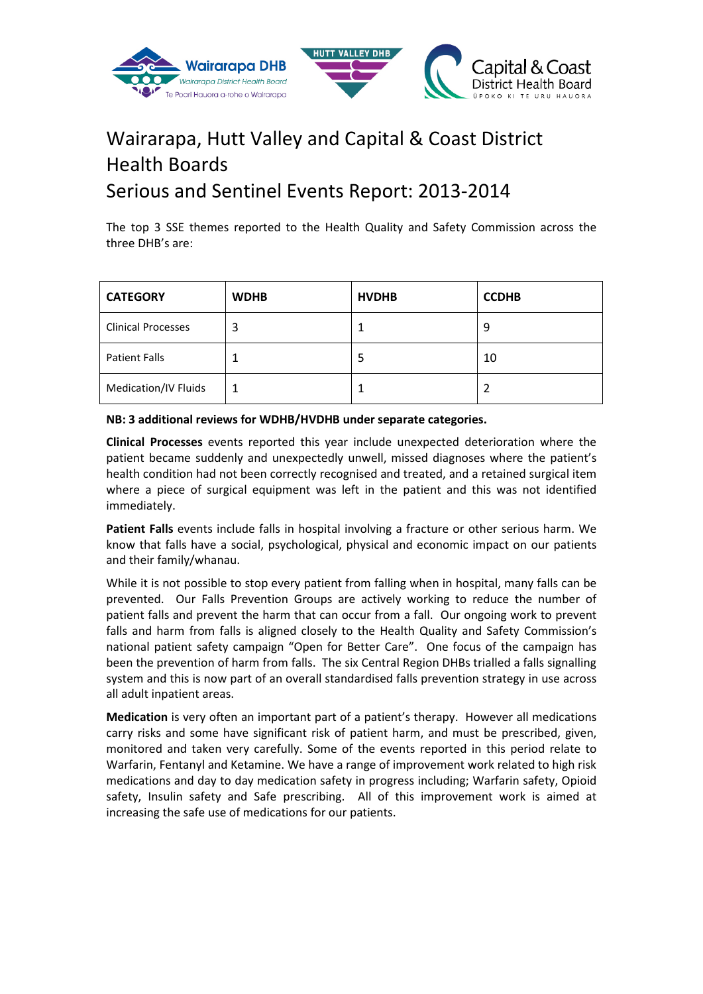

# Wairarapa, Hutt Valley and Capital & Coast District Health Boards Serious and Sentinel Events Report: 2013-2014

The top 3 SSE themes reported to the Health Quality and Safety Commission across the three DHB's are:

| <b>CATEGORY</b>           | <b>WDHB</b> | <b>HVDHB</b> | <b>CCDHB</b> |
|---------------------------|-------------|--------------|--------------|
| <b>Clinical Processes</b> | 3           |              | 9            |
| <b>Patient Falls</b>      |             | Ь            | 10           |
| Medication/IV Fluids      |             |              |              |

### **NB: 3 additional reviews for WDHB/HVDHB under separate categories.**

**Clinical Processes** events reported this year include unexpected deterioration where the patient became suddenly and unexpectedly unwell, missed diagnoses where the patient's health condition had not been correctly recognised and treated, and a retained surgical item where a piece of surgical equipment was left in the patient and this was not identified immediately.

**Patient Falls** events include falls in hospital involving a fracture or other serious harm. We know that falls have a social, psychological, physical and economic impact on our patients and their family/whanau.

While it is not possible to stop every patient from falling when in hospital, many falls can be prevented. Our Falls Prevention Groups are actively working to reduce the number of patient falls and prevent the harm that can occur from a fall. Our ongoing work to prevent falls and harm from falls is aligned closely to the Health Quality and Safety Commission's national patient safety campaign "Open for Better Care". One focus of the campaign has been the prevention of harm from falls. The six Central Region DHBs trialled a falls signalling system and this is now part of an overall standardised falls prevention strategy in use across all adult inpatient areas.

**Medication** is very often an important part of a patient's therapy. However all medications carry risks and some have significant risk of patient harm, and must be prescribed, given, monitored and taken very carefully. Some of the events reported in this period relate to Warfarin, Fentanyl and Ketamine. We have a range of improvement work related to high risk medications and day to day medication safety in progress including; Warfarin safety, Opioid safety, Insulin safety and Safe prescribing. All of this improvement work is aimed at increasing the safe use of medications for our patients.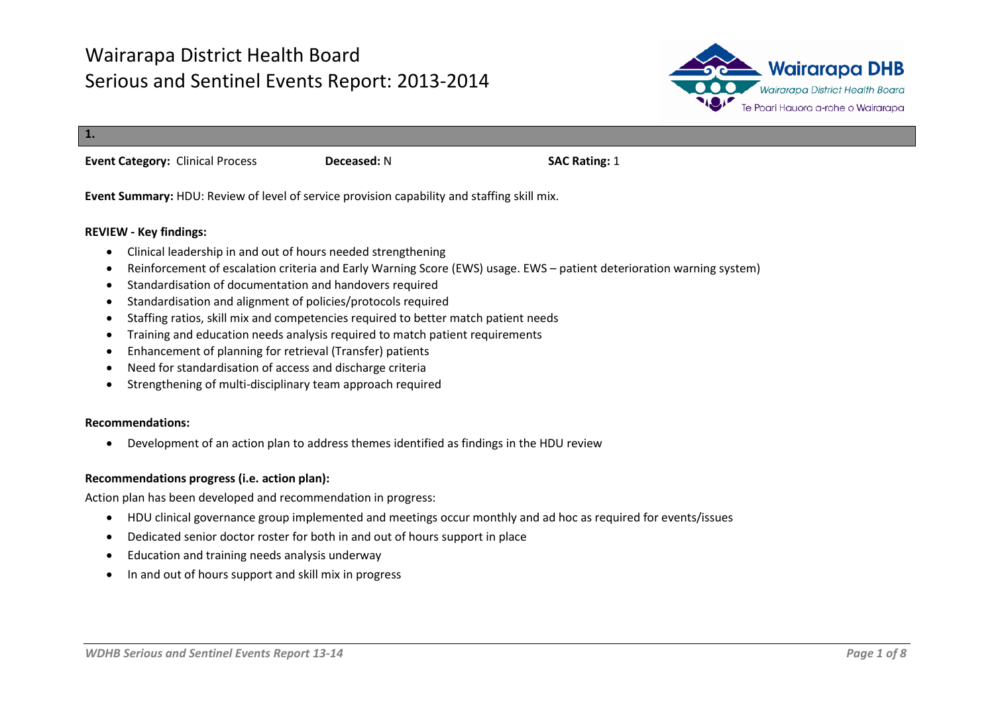

**1. Event Category:** Clinical Process **Deceased:** N **SAC Rating:** 1

**Event Summary:** HDU: Review of level of service provision capability and staffing skill mix.

#### **REVIEW - Key findings:**

- Clinical leadership in and out of hours needed strengthening
- Reinforcement of escalation criteria and Early Warning Score (EWS) usage. EWS patient deterioration warning system)
- Standardisation of documentation and handovers required
- Standardisation and alignment of policies/protocols required
- Staffing ratios, skill mix and competencies required to better match patient needs
- Training and education needs analysis required to match patient requirements
- Enhancement of planning for retrieval (Transfer) patients
- Need for standardisation of access and discharge criteria
- Strengthening of multi-disciplinary team approach required

#### **Recommendations:**

• Development of an action plan to address themes identified as findings in the HDU review

#### **Recommendations progress (i.e. action plan):**

Action plan has been developed and recommendation in progress:

- HDU clinical governance group implemented and meetings occur monthly and ad hoc as required for events/issues
- Dedicated senior doctor roster for both in and out of hours support in place
- Education and training needs analysis underway
- In and out of hours support and skill mix in progress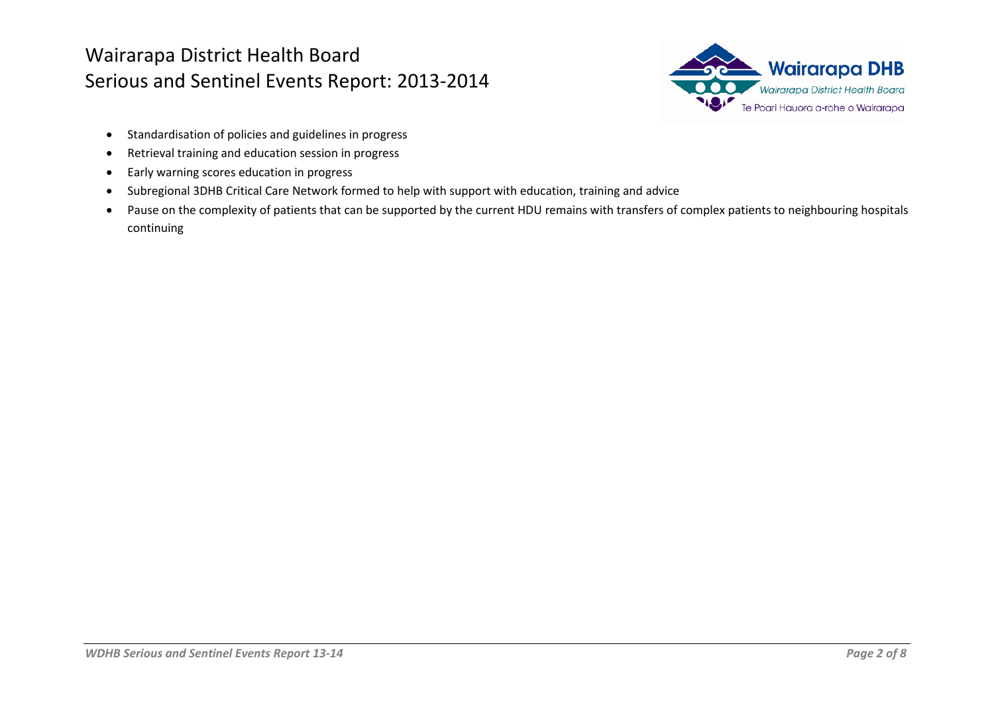

- Standardisation of policies and guidelines in progress
- Retrieval training and education session in progress
- Early warning scores education in progress
- Subregional 3DHB Critical Care Network formed to help with support with education, training and advice
- Pause on the complexity of patients that can be supported by the current HDU remains with transfers of complex patients to neighbouring hospitals continuing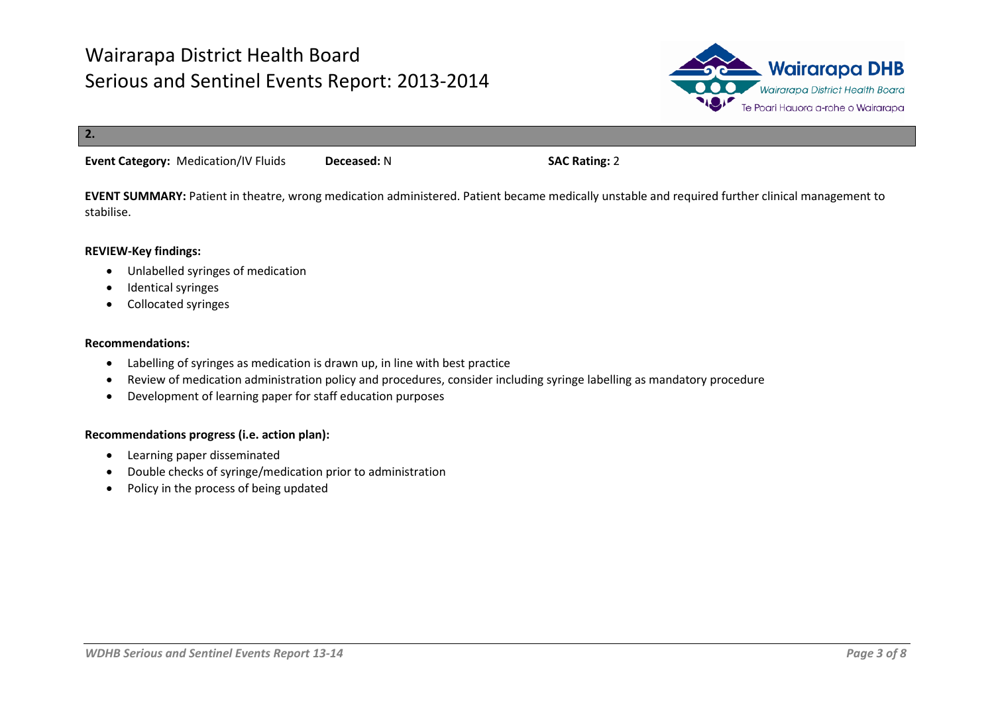

**2.**

**Event Category:** Medication/IV Fluids **Deceased:** N **SAC Rating:** 2

**EVENT SUMMARY:** Patient in theatre, wrong medication administered. Patient became medically unstable and required further clinical management to stabilise.

#### **REVIEW-Key findings:**

- Unlabelled syringes of medication
- Identical syringes
- Collocated syringes

#### **Recommendations:**

- Labelling of syringes as medication is drawn up, in line with best practice
- Review of medication administration policy and procedures, consider including syringe labelling as mandatory procedure
- Development of learning paper for staff education purposes

- Learning paper disseminated
- Double checks of syringe/medication prior to administration
- Policy in the process of being updated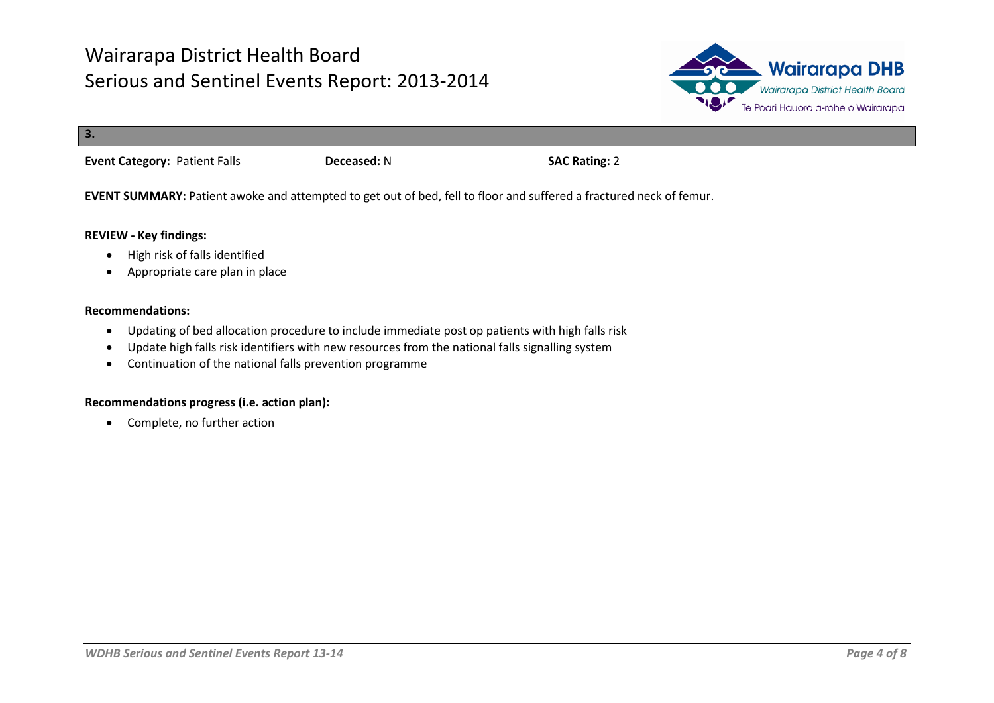

| 3.                                   |             |                      |
|--------------------------------------|-------------|----------------------|
| <b>Event Category: Patient Falls</b> | Deceased: N | <b>SAC Rating: 2</b> |

**EVENT SUMMARY:** Patient awoke and attempted to get out of bed, fell to floor and suffered a fractured neck of femur.

#### **REVIEW - Key findings:**

- High risk of falls identified
- Appropriate care plan in place

#### **Recommendations:**

- Updating of bed allocation procedure to include immediate post op patients with high falls risk
- Update high falls risk identifiers with new resources from the national falls signalling system
- Continuation of the national falls prevention programme

#### **Recommendations progress (i.e. action plan):**

• Complete, no further action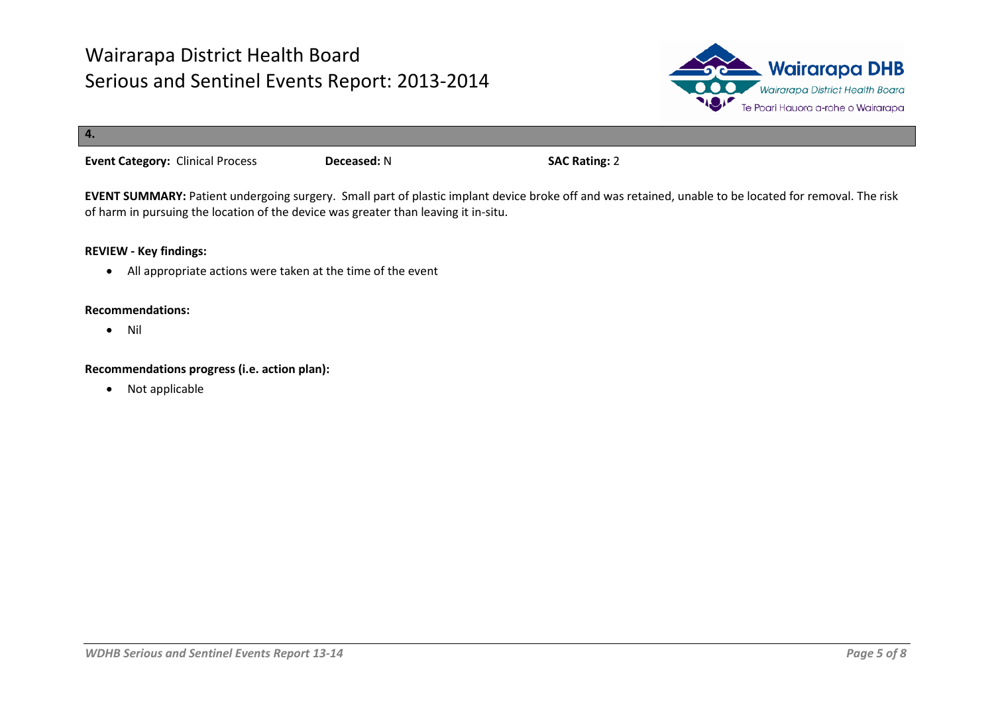

| 4.                                      |             |                      |
|-----------------------------------------|-------------|----------------------|
| <b>Event Category: Clinical Process</b> | Deceased: N | <b>SAC Rating: 2</b> |

**EVENT SUMMARY:** Patient undergoing surgery. Small part of plastic implant device broke off and was retained, unable to be located for removal. The risk of harm in pursuing the location of the device was greater than leaving it in-situ.

### **REVIEW - Key findings:**

• All appropriate actions were taken at the time of the event

#### **Recommendations:**

• Nil

#### **Recommendations progress (i.e. action plan):**

• Not applicable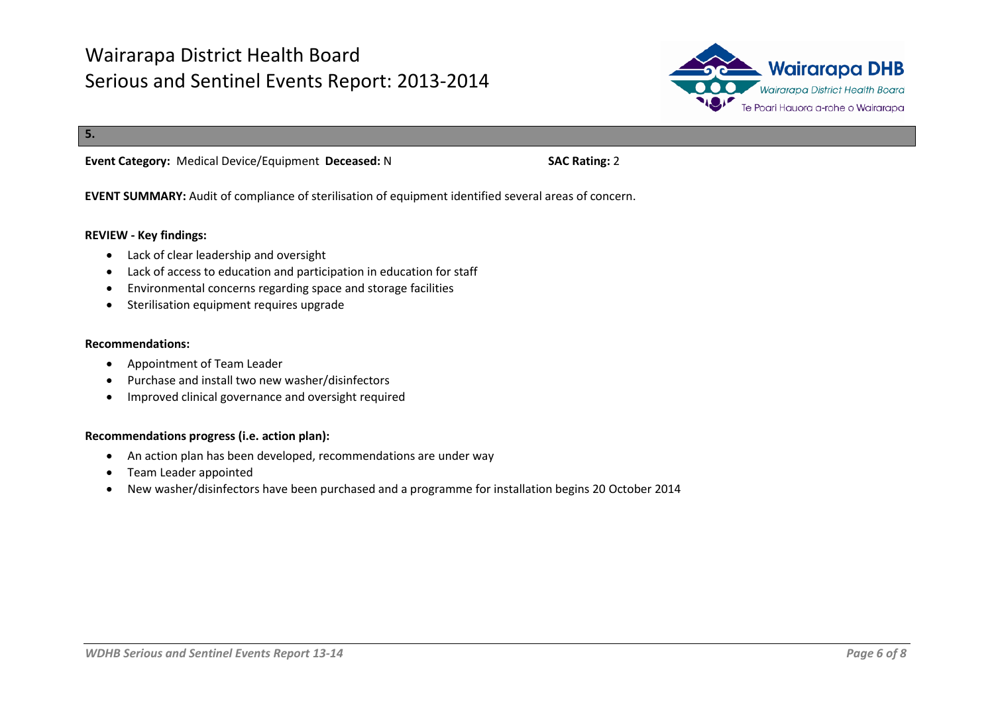

**5.**

**Event Category:** Medical Device/Equipment **Deceased:** N **SAC Rating:** 2

**EVENT SUMMARY:** Audit of compliance of sterilisation of equipment identified several areas of concern.

#### **REVIEW - Key findings:**

- Lack of clear leadership and oversight
- Lack of access to education and participation in education for staff
- Environmental concerns regarding space and storage facilities
- Sterilisation equipment requires upgrade

#### **Recommendations:**

- Appointment of Team Leader
- Purchase and install two new washer/disinfectors
- Improved clinical governance and oversight required

- An action plan has been developed, recommendations are under way
- Team Leader appointed
- New washer/disinfectors have been purchased and a programme for installation begins 20 October 2014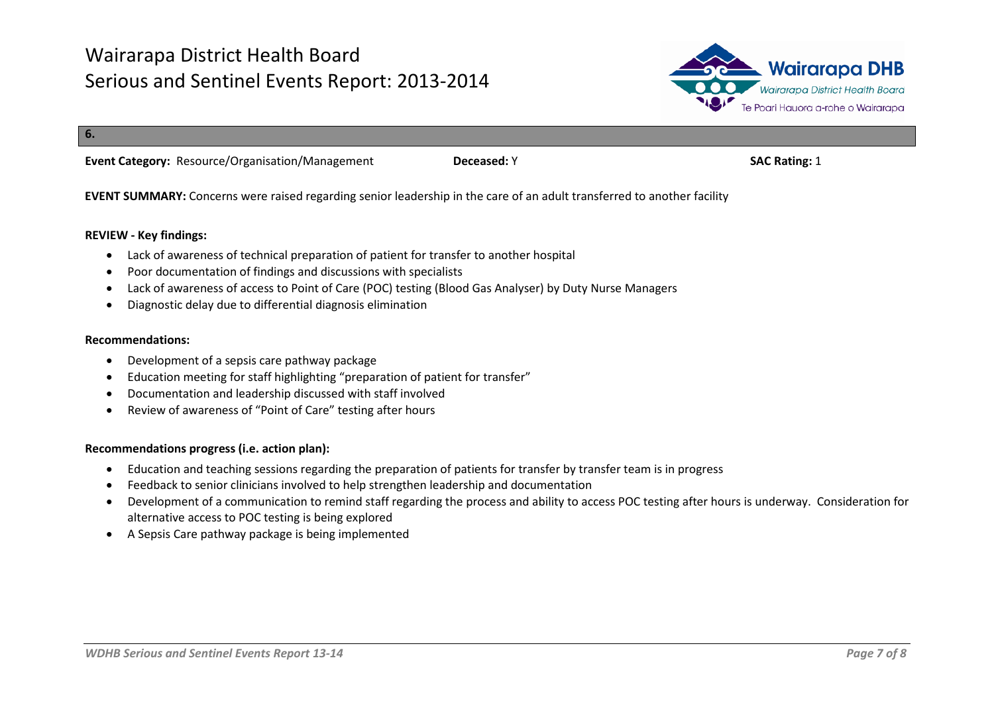

**6.**

**Event Category:** Resource/Organisation/Management **Deceased:** Y **SAC Rating:** 1

**EVENT SUMMARY:** Concerns were raised regarding senior leadership in the care of an adult transferred to another facility

#### **REVIEW - Key findings:**

- Lack of awareness of technical preparation of patient for transfer to another hospital
- Poor documentation of findings and discussions with specialists
- Lack of awareness of access to Point of Care (POC) testing (Blood Gas Analyser) by Duty Nurse Managers
- Diagnostic delay due to differential diagnosis elimination

#### **Recommendations:**

- Development of a sepsis care pathway package
- Education meeting for staff highlighting "preparation of patient for transfer"
- Documentation and leadership discussed with staff involved
- Review of awareness of "Point of Care" testing after hours

- Education and teaching sessions regarding the preparation of patients for transfer by transfer team is in progress
- Feedback to senior clinicians involved to help strengthen leadership and documentation
- Development of a communication to remind staff regarding the process and ability to access POC testing after hours is underway. Consideration for alternative access to POC testing is being explored
- A Sepsis Care pathway package is being implemented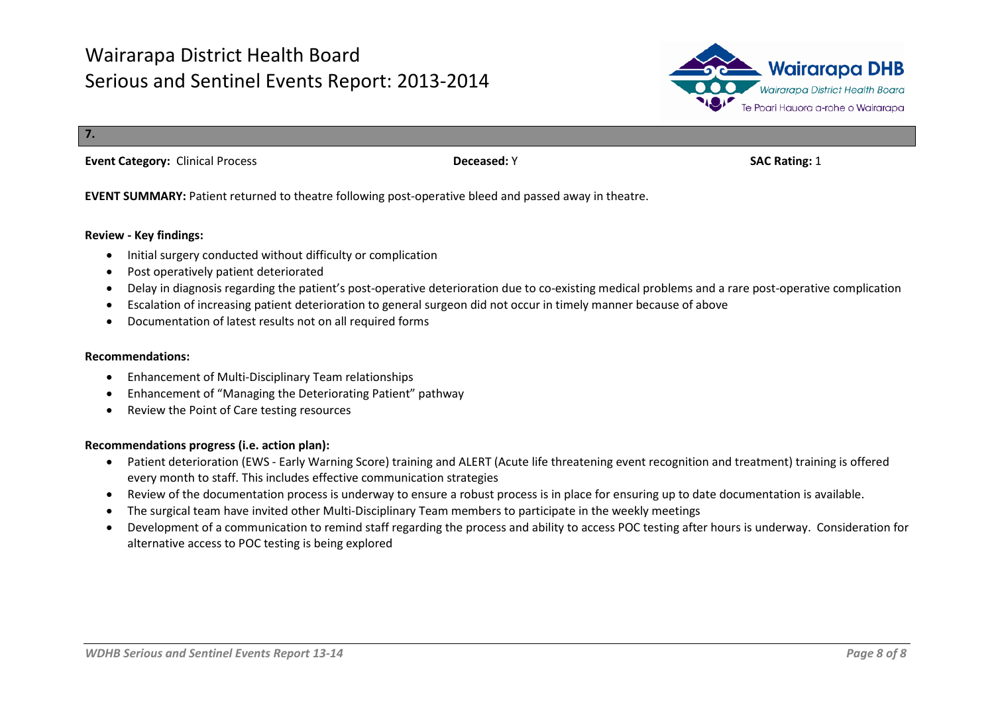

**7.**

**Event Category:** Clinical Process **Deceased:** Y **SAC Rating:** 1

**EVENT SUMMARY:** Patient returned to theatre following post-operative bleed and passed away in theatre.

#### **Review - Key findings:**

- Initial surgery conducted without difficulty or complication
- Post operatively patient deteriorated
- Delay in diagnosis regarding the patient's post-operative deterioration due to co-existing medical problems and a rare post-operative complication
- Escalation of increasing patient deterioration to general surgeon did not occur in timely manner because of above
- Documentation of latest results not on all required forms

#### **Recommendations:**

- Enhancement of Multi-Disciplinary Team relationships
- Enhancement of "Managing the Deteriorating Patient" pathway
- Review the Point of Care testing resources

- Patient deterioration (EWS Early Warning Score) training and ALERT (Acute life threatening event recognition and treatment) training is offered every month to staff. This includes effective communication strategies
- Review of the documentation process is underway to ensure a robust process is in place for ensuring up to date documentation is available.
- The surgical team have invited other Multi-Disciplinary Team members to participate in the weekly meetings
- Development of a communication to remind staff regarding the process and ability to access POC testing after hours is underway. Consideration for alternative access to POC testing is being explored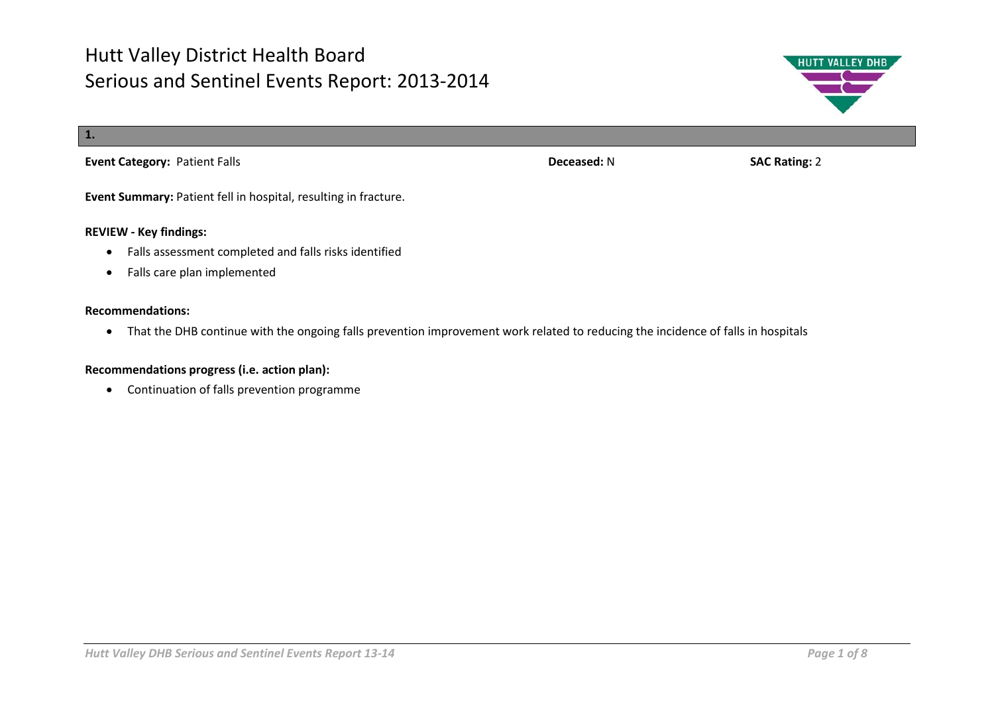

**Event Summary:** Patient fell in hospital, resulting in fracture.

#### **REVIEW - Key findings:**

- Falls assessment completed and falls risks identified
- Falls care plan implemented

#### **Recommendations:**

• That the DHB continue with the ongoing falls prevention improvement work related to reducing the incidence of falls in hospitals

#### **Recommendations progress (i.e. action plan):**

• Continuation of falls prevention programme

**HUTT VALLEY DHB**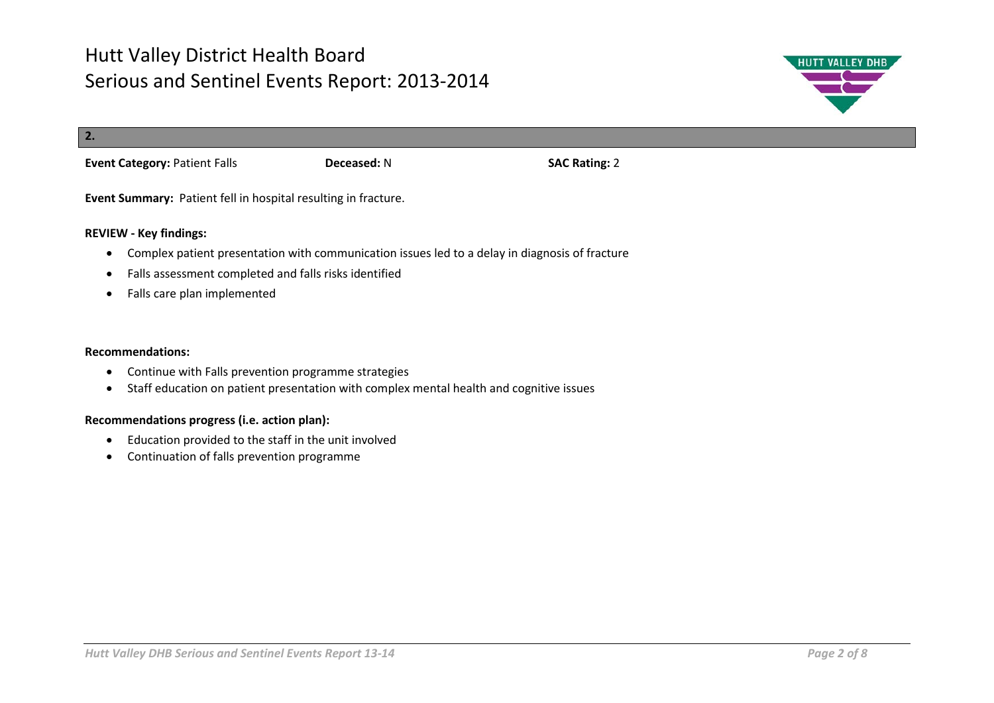

# **2. Event Category:** Patient Falls **Deceased:** N **SAC Rating:** 2

**Event Summary:** Patient fell in hospital resulting in fracture.

### **REVIEW - Key findings:**

- Complex patient presentation with communication issues led to a delay in diagnosis of fracture
- Falls assessment completed and falls risks identified
- Falls care plan implemented

#### **Recommendations:**

- Continue with Falls prevention programme strategies
- Staff education on patient presentation with complex mental health and cognitive issues

- Education provided to the staff in the unit involved
- Continuation of falls prevention programme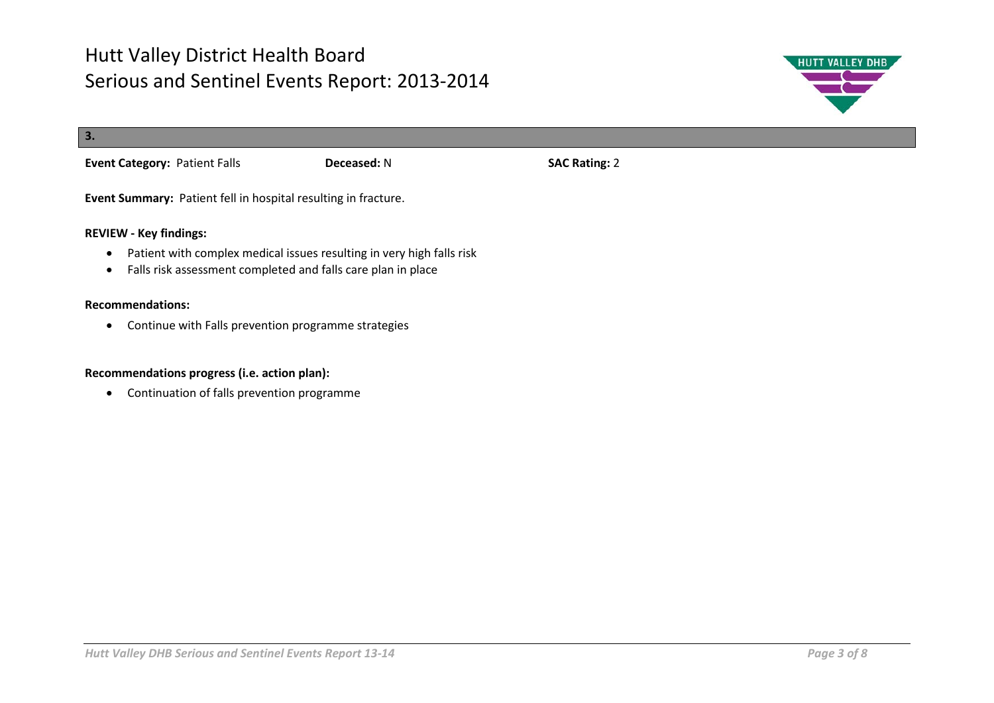

| 3.                                                             |             |                      |  |  |
|----------------------------------------------------------------|-------------|----------------------|--|--|
| <b>Event Category: Patient Falls</b>                           | Deceased: N | <b>SAC Rating: 2</b> |  |  |
| Event Summary: Patient fell in hospital resulting in fracture. |             |                      |  |  |
| <b>REVIEW - Key findings:</b>                                  |             |                      |  |  |

- Patient with complex medical issues resulting in very high falls risk
- Falls risk assessment completed and falls care plan in place

#### **Recommendations:**

• Continue with Falls prevention programme strategies

### **Recommendations progress (i.e. action plan):**

• Continuation of falls prevention programme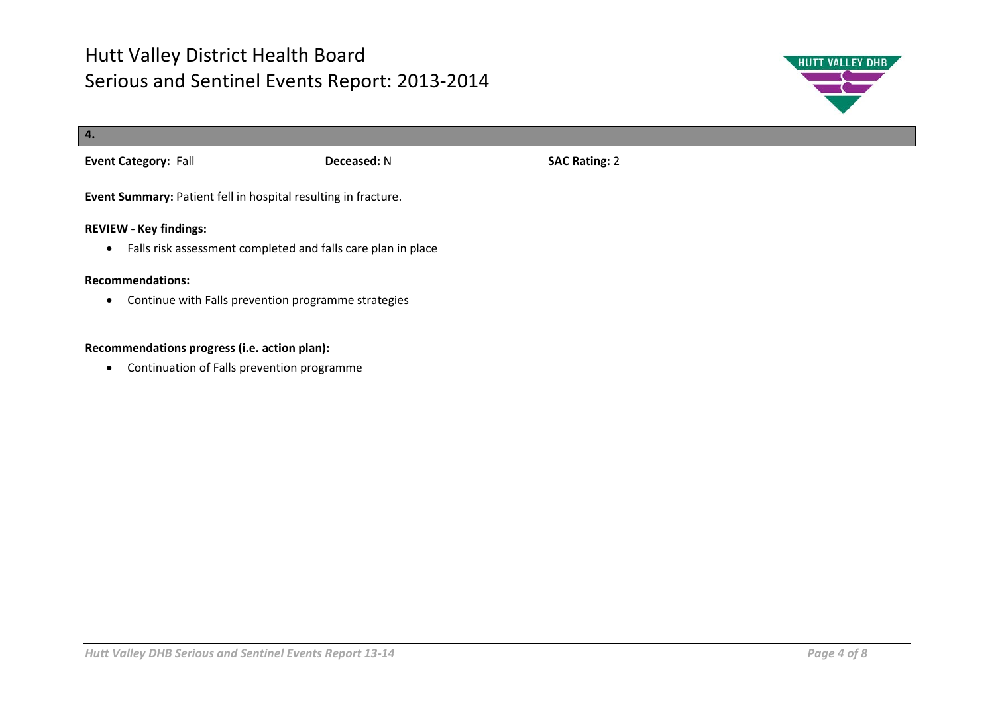

| 4.                                                                                                         |             |                      |  |
|------------------------------------------------------------------------------------------------------------|-------------|----------------------|--|
| <b>Event Category: Fall</b>                                                                                | Deceased: N | <b>SAC Rating: 2</b> |  |
| Event Summary: Patient fell in hospital resulting in fracture.                                             |             |                      |  |
| <b>REVIEW - Key findings:</b><br>Falls risk assessment completed and falls care plan in place<br>$\bullet$ |             |                      |  |
| <b>Recommendations:</b><br>Continue with Falls prevention programme strategies<br>$\bullet$                |             |                      |  |

### **Recommendations progress (i.e. action plan):**

• Continuation of Falls prevention programme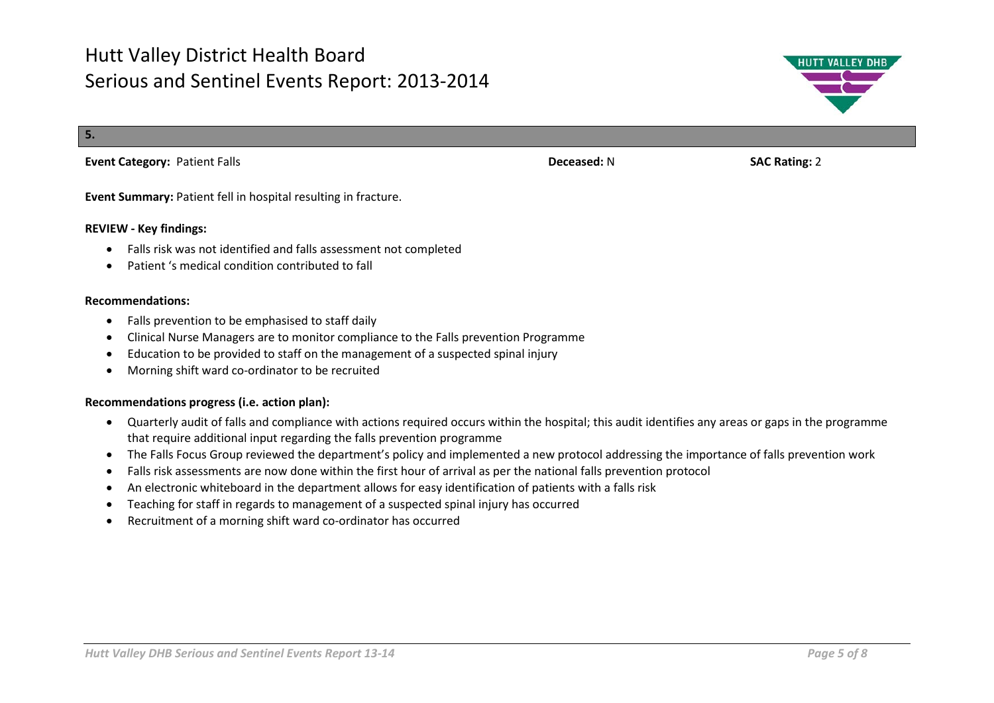**5.**

### **Event Category:** Patient Falls **Deceased:** N **Deceased:** N **SAC Rating:** 2

**Event Summary:** Patient fell in hospital resulting in fracture.

#### **REVIEW - Key findings:**

- Falls risk was not identified and falls assessment not completed
- Patient 's medical condition contributed to fall

#### **Recommendations:**

- Falls prevention to be emphasised to staff daily
- Clinical Nurse Managers are to monitor compliance to the Falls prevention Programme
- Education to be provided to staff on the management of a suspected spinal injury
- Morning shift ward co-ordinator to be recruited

- Quarterly audit of falls and compliance with actions required occurs within the hospital; this audit identifies any areas or gaps in the programme that require additional input regarding the falls prevention programme
- The Falls Focus Group reviewed the department's policy and implemented a new protocol addressing the importance of falls prevention work
- Falls risk assessments are now done within the first hour of arrival as per the national falls prevention protocol
- An electronic whiteboard in the department allows for easy identification of patients with a falls risk
- Teaching for staff in regards to management of a suspected spinal injury has occurred
- Recruitment of a morning shift ward co-ordinator has occurred



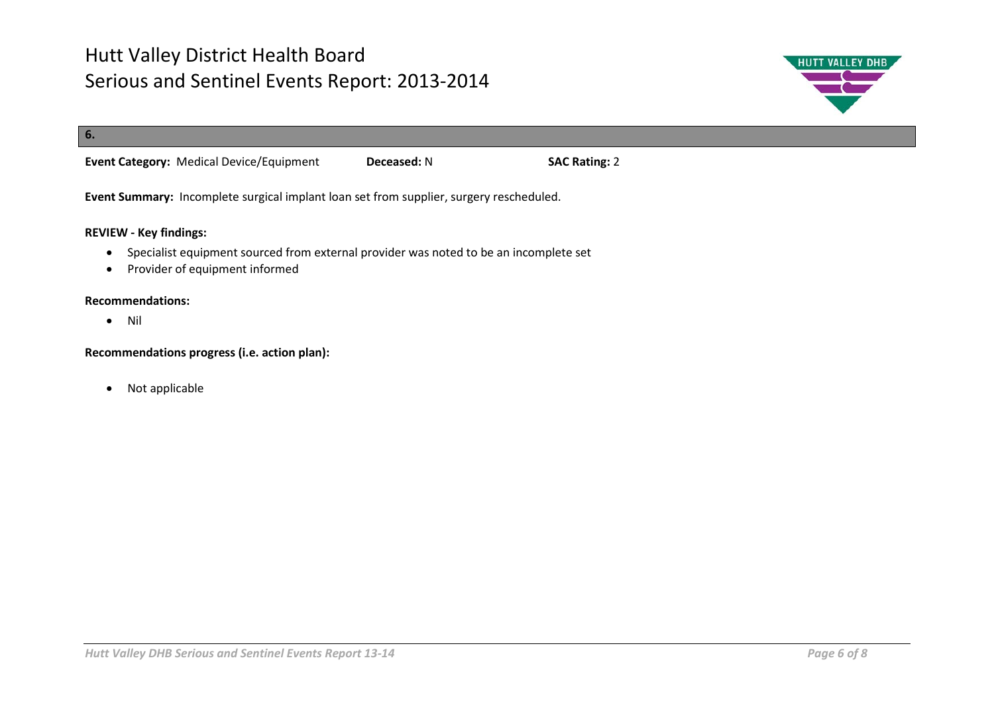

# **6. Event Category:** Medical Device/Equipment **Deceased:** N **SAC Rating:** 2

**Event Summary:** Incomplete surgical implant loan set from supplier, surgery rescheduled.

### **REVIEW - Key findings:**

- Specialist equipment sourced from external provider was noted to be an incomplete set
- Provider of equipment informed

### **Recommendations:**

• Nil

#### **Recommendations progress (i.e. action plan):**

• Not applicable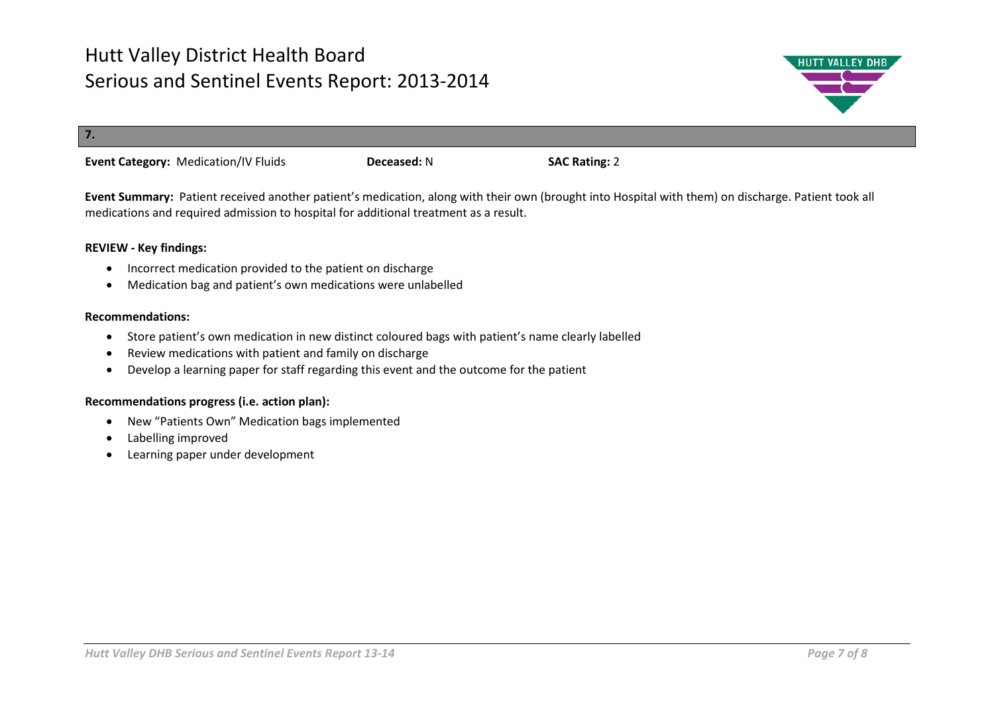

**7.** 

**Event Category:** Medication/IV Fluids **Deceased:** N **SAC Rating:** 2

**Event Summary:** Patient received another patient's medication, along with their own (brought into Hospital with them) on discharge. Patient took all medications and required admission to hospital for additional treatment as a result.

### **REVIEW - Key findings:**

- Incorrect medication provided to the patient on discharge
- Medication bag and patient's own medications were unlabelled

#### **Recommendations:**

- Store patient's own medication in new distinct coloured bags with patient's name clearly labelled
- Review medications with patient and family on discharge
- Develop a learning paper for staff regarding this event and the outcome for the patient

- New "Patients Own" Medication bags implemented
- Labelling improved
- Learning paper under development